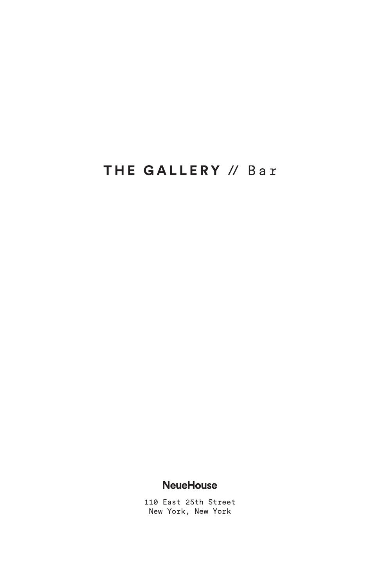### THE GALLERY // Bar

### **NeueHouse**

110 East 25th Street New York, New York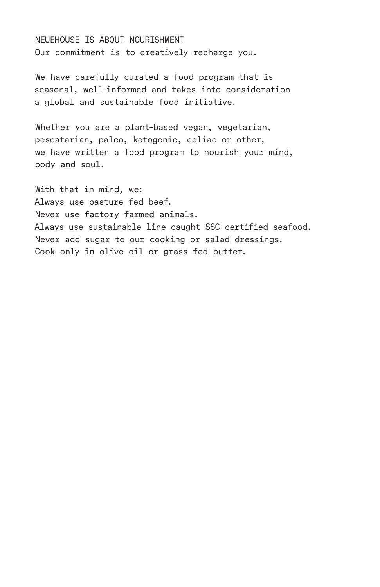NEUEHOUSE IS ABOUT NOURISHMENT

Our commitment is to creatively recharge you.

We have carefully curated a food program that is seasonal, well-informed and takes into consideration a global and sustainable food initiative.

Whether you are a plant-based vegan, vegetarian, pescatarian, paleo, ketogenic, celiac or other, we have written a food program to nourish your mind, body and soul.

With that in mind, we: Always use pasture fed beef. Never use factory farmed animals. Always use sustainable line caught SSC certified seafood. Never add sugar to our cooking or salad dressings. Cook only in olive oil or grass fed butter.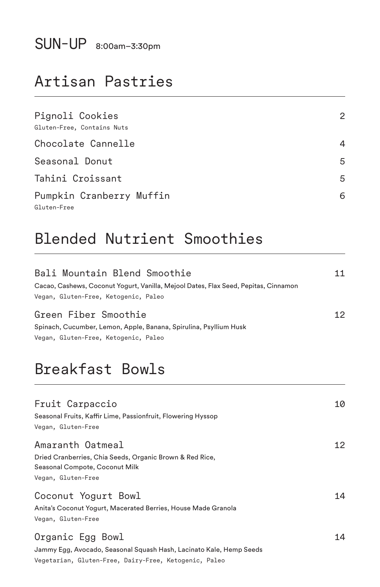# SUN-UP 8:00am–3:30pm

### Artisan Pastries

| Pignoli Cookies<br>Gluten-Free, Contains Nuts | 2              |
|-----------------------------------------------|----------------|
| Chocolate Cannelle                            | $\overline{4}$ |
| Seasonal Donut                                | 5              |
| Tahini Croissant                              | 5              |
| Pumpkin Cranberry Muffin<br>Gluten-Free       | 6              |

### Blended Nutrient Smoothies

| Bali Mountain Blend Smoothie                                                        | 11 |
|-------------------------------------------------------------------------------------|----|
| Cacao, Cashews, Coconut Yogurt, Vanilla, Mejool Dates, Flax Seed, Pepitas, Cinnamon |    |
| Vegan, Gluten-Free, Ketogenic, Paleo                                                |    |
| Green Fiber Smoothie                                                                | 12 |
| Spinach, Cucumber, Lemon, Apple, Banana, Spirulina, Psyllium Husk                   |    |
| Vegan, Gluten-Free, Ketogenic, Paleo                                                |    |

### Breakfast Bowls

| Fruit Carpaccio                                                     | 10 |
|---------------------------------------------------------------------|----|
| Seasonal Fruits, Kaffir Lime, Passionfruit, Flowering Hyssop        |    |
| Vegan, Gluten-Free                                                  |    |
| Amaranth Oatmeal                                                    | 12 |
| Dried Cranberries, Chia Seeds, Organic Brown & Red Rice,            |    |
| Seasonal Compote, Coconut Milk                                      |    |
| Vegan, Gluten-Free                                                  |    |
| Coconut Yogurt Bowl                                                 | 14 |
| Anita's Coconut Yogurt, Macerated Berries, House Made Granola       |    |
| Vegan, Gluten-Free                                                  |    |
| Organic Egg Bowl                                                    | 14 |
| Jammy Egg, Avocado, Seasonal Squash Hash, Lacinato Kale, Hemp Seeds |    |
| Vegetarian, Gluten-Free, Dairy-Free, Ketogenic, Paleo               |    |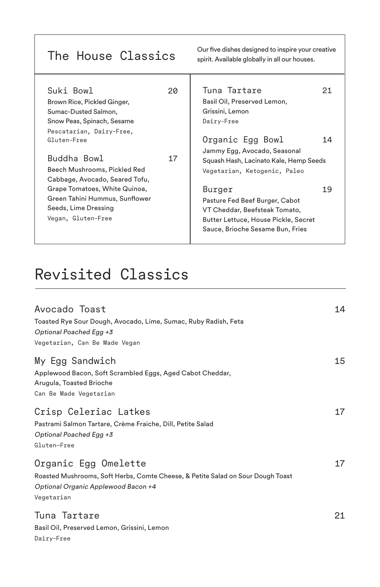|  |  | The House Classics |  |
|--|--|--------------------|--|
|--|--|--------------------|--|

Our five dishes designed to inspire your creative<br>spirit. Available globally in all our houses.

| Suki Bowl                      | 20 | Tuna Tartare                           | 21 |
|--------------------------------|----|----------------------------------------|----|
| Brown Rice, Pickled Ginger,    |    | Basil Oil, Preserved Lemon,            |    |
| Sumac-Dusted Salmon,           |    | Grissini, Lemon                        |    |
| Snow Peas, Spinach, Sesame     |    | Dairy-Free                             |    |
| Pescatarian, Dairy-Free.       |    |                                        |    |
| Gluten-Free                    |    | Organic Egg Bowl                       | 14 |
|                                |    | Jammy Egg, Avocado, Seasonal           |    |
| Buddha Bowl                    | 17 | Squash Hash, Lacinato Kale, Hemp Seeds |    |
| Beech Mushrooms, Pickled Red   |    | Vegetarian, Ketogenic, Paleo           |    |
| Cabbage, Avocado, Seared Tofu, |    |                                        |    |
| Grape Tomatoes, White Quinoa,  |    | Burger                                 | 19 |
| Green Tahini Hummus, Sunflower |    | Pasture Fed Beef Burger, Cabot         |    |
| Seeds, Lime Dressing           |    | VT Cheddar, Beefsteak Tomato,          |    |
| Vegan, Gluten-Free             |    | Butter Lettuce, House Pickle, Secret   |    |
|                                |    | Sauce, Brioche Sesame Bun, Fries       |    |
|                                |    |                                        |    |

# Revisited Classics

| Avocado Toast<br>Toasted Rye Sour Dough, Avocado, Lime, Sumac, Ruby Radish, Feta<br>Optional Poached Egg +3<br>Vegetarian, Can Be Made Vegan                 | 14 |
|--------------------------------------------------------------------------------------------------------------------------------------------------------------|----|
| My Egg Sandwich<br>Applewood Bacon, Soft Scrambled Eggs, Aged Cabot Cheddar,<br>Arugula, Toasted Brioche<br>Can Be Made Vegetarian                           | 15 |
| Crisp Celeriac Latkes<br>Pastrami Salmon Tartare, Crème Fraiche, Dill, Petite Salad<br>Optional Poached Egg +3<br>Gluten-Free                                | 17 |
| Organic Egg Omelette<br>Roasted Mushrooms, Soft Herbs, Comte Cheese, & Petite Salad on Sour Dough Toast<br>Optional Organic Applewood Bacon +4<br>Vegetarian | 17 |
| Tuna Tartare<br>Basil Oil, Preserved Lemon, Grissini, Lemon<br>Dairy-Free                                                                                    | 21 |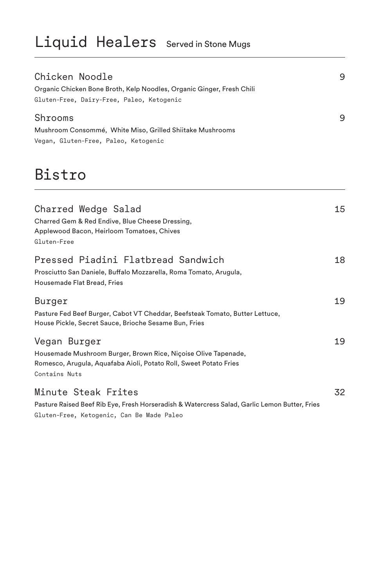# Liquid Healers Served in Stone Mugs

| Chicken Noodle<br>Organic Chicken Bone Broth, Kelp Noodles, Organic Ginger, Fresh Chili<br>Gluten-Free, Dairy-Free, Paleo, Ketogenic            | 9  |
|-------------------------------------------------------------------------------------------------------------------------------------------------|----|
| Shrooms<br>Mushroom Consommé, White Miso, Grilled Shiitake Mushrooms<br>Vegan, Gluten-Free, Paleo, Ketogenic                                    | 9  |
| Bistro                                                                                                                                          |    |
| Charred Wedge Salad<br>Charred Gem & Red Endive, Blue Cheese Dressing,<br>Applewood Bacon, Heirloom Tomatoes, Chives<br>Gluten-Free             | 15 |
| Pressed Piadini Flatbread Sandwich<br>Prosciutto San Daniele, Buffalo Mozzarella, Roma Tomato, Arugula,<br>Housemade Flat Bread, Fries          | 18 |
| Burger<br>Pasture Fed Beef Burger, Cabot VT Cheddar, Beefsteak Tomato, Butter Lettuce,<br>House Pickle, Secret Sauce, Brioche Sesame Bun, Fries | 19 |

### Vegan Burger 19

Housemade Mushroom Burger, Brown Rice, Niçoise Olive Tapenade, Romesco, Arugula, Aquafaba Aioli, Potato Roll, Sweet Potato Fries Contains Nuts

Minute Steak Frites 32 Pasture Raised Beef Rib Eye, Fresh Horseradish & Watercress Salad, Garlic Lemon Butter, Fries Gluten-Free, Ketogenic, Can Be Made Paleo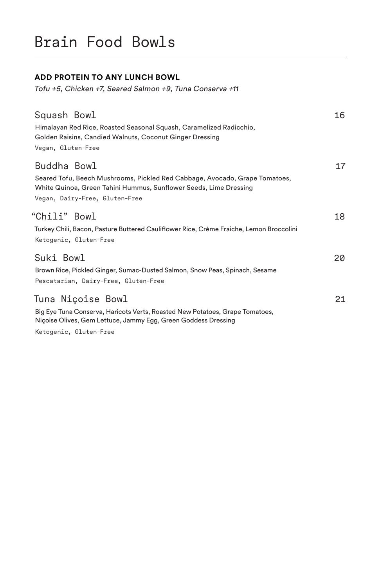# Brain Food Bowls

#### **ADD PROTEIN TO ANY LUNCH BOWL**

Tofu +5, Chicken +7, Seared Salmon +9, Tuna Conserva +11

| Squash Bowl<br>Himalayan Red Rice, Roasted Seasonal Squash, Caramelized Radicchio,<br>Golden Raisins, Candied Walnuts, Coconut Ginger Dressing<br>Vegan, Gluten-Free               | 16 |
|------------------------------------------------------------------------------------------------------------------------------------------------------------------------------------|----|
| Buddha Bowl                                                                                                                                                                        | 17 |
| Seared Tofu, Beech Mushrooms, Pickled Red Cabbage, Avocado, Grape Tomatoes,<br>White Quinoa, Green Tahini Hummus, Sunflower Seeds, Lime Dressing<br>Vegan, Dairy-Free, Gluten-Free |    |
| "Chili" Bowl                                                                                                                                                                       | 18 |
| Turkey Chili, Bacon, Pasture Buttered Cauliflower Rice, Crème Fraiche, Lemon Broccolini<br>Ketogenic, Gluten-Free                                                                  |    |
| Suki Bowl                                                                                                                                                                          | 20 |
| Brown Rice, Pickled Ginger, Sumac-Dusted Salmon, Snow Peas, Spinach, Sesame                                                                                                        |    |
| Pescatarian, Dairy-Free, Gluten-Free                                                                                                                                               |    |
| Tuna Niçoise Bowl                                                                                                                                                                  | 21 |
| Big Eye Tuna Conserva, Haricots Verts, Roasted New Potatoes, Grape Tomatoes,<br>Niçoise Olives, Gem Lettuce, Jammy Egg, Green Goddess Dressing                                     |    |
| Ketogenic, Gluten-Free                                                                                                                                                             |    |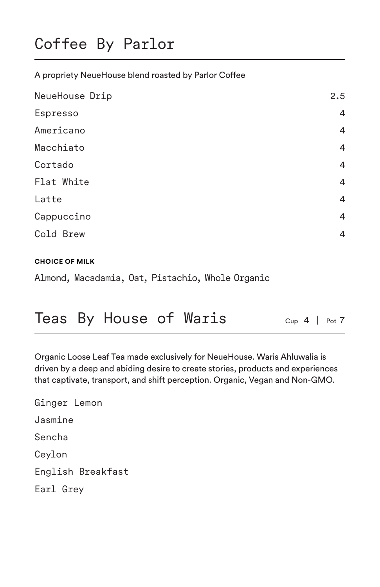### A propriety NeueHouse blend roasted by Parlor Coffee

| NeueHouse Drip | 2.5 |
|----------------|-----|
| Espresso       | 4   |
| Americano      | 4   |
| Macchiato      | 4   |
| Cortado        | 4   |
| Flat White     | 4   |
| Latte          | 4   |
| Cappuccino     | 4   |
| Cold Brew      | 4   |
|                |     |

### **CHOICE OF MILK**

Almond, Macadamia, Oat, Pistachio, Whole Organic

| Teas By House of Waris |  |  |  |  |  | Cup $4 \mid$ Pot 7 |
|------------------------|--|--|--|--|--|--------------------|
|------------------------|--|--|--|--|--|--------------------|

Organic Loose Leaf Tea made exclusively for NeueHouse. Waris Ahluwalia is driven by a deep and abiding desire to create stories, products and experiences that captivate, transport, and shift perception. Organic, Vegan and Non-GMO.

Ginger Lemon Jasmine Sencha Ceylon English Breakfast Earl Grey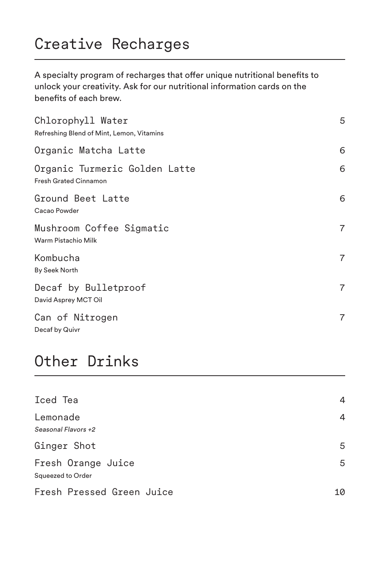### Creative Recharges

A specialty program of recharges that offer unique nutritional benefits to unlock your creativity. Ask for our nutritional information cards on the benefits of each brew.

| Chlorophyll Water<br>Refreshing Blend of Mint, Lemon, Vitamins | 5 |
|----------------------------------------------------------------|---|
| Organic Matcha Latte                                           | 6 |
| Organic Turmeric Golden Latte<br>Fresh Grated Cinnamon         | 6 |
| Ground Beet Latte<br>Cacao Powder                              | 6 |
| Mushroom Coffee Sigmatic<br>Warm Pistachio Milk                | 7 |
| Kombucha<br>By Seek North                                      | 7 |
| Decaf by Bulletproof<br>David Asprey MCT Oil                   | 7 |
| Can of Nitrogen<br>Decaf by Quivr                              | 7 |

### Other Drinks

| Iced Tea                                | 4  |
|-----------------------------------------|----|
| Lemonade<br>Seasonal Flavors +2         | 4  |
| Ginger Shot                             | 5  |
| Fresh Orange Juice<br>Squeezed to Order | 5  |
| Fresh Pressed Green Juice               | 10 |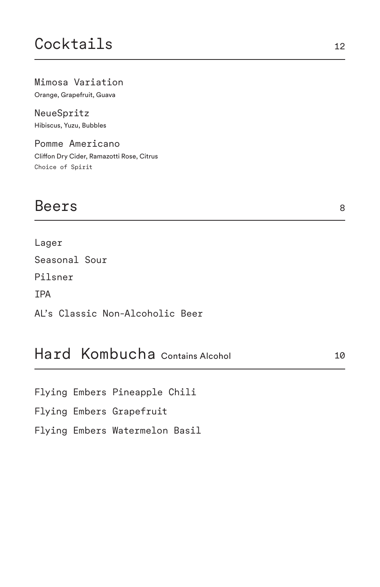Mimosa Variation Orange, Grapefruit, Guava

NeueSpritz Hibiscus, Yuzu, Bubbles

Pomme Americano Cliffon Dry Cider, Ramazotti Rose, Citrus Choice of Spirit

### Beers

8

10

### Lager

Seasonal Sour

Pilsner

IPA

AL's Classic Non-Alcoholic Beer

### Hard Kombucha Contains Alcohol

Flying Embers Pineapple Chili

Flying Embers Grapefruit

Flying Embers Watermelon Basil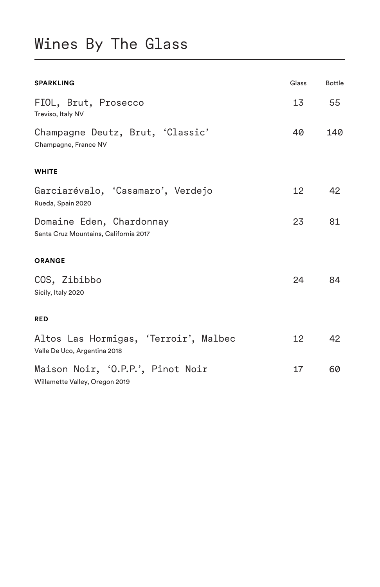# Wines By The Glass

| <b>SPARKLING</b>                                                      | Glass | <b>Bottle</b> |
|-----------------------------------------------------------------------|-------|---------------|
| FIOL, Brut, Prosecco<br>Treviso, Italy NV                             | 13    | 55            |
| Champagne Deutz, Brut, 'Classic'<br>Champagne, France NV              | 40    | 140           |
| <b>WHITE</b>                                                          |       |               |
| Garciarévalo, 'Casamaro', Verdejo<br>Rueda, Spain 2020                | 12    | 42            |
| Domaine Eden, Chardonnay<br>Santa Cruz Mountains, California 2017     | 23    | 81            |
| <b>ORANGE</b>                                                         |       |               |
| COS, Zibibbo<br>Sicily, Italy 2020                                    | 24    | 84            |
| <b>RED</b>                                                            |       |               |
| Altos Las Hormigas, 'Terroir', Malbec<br>Valle De Uco, Argentina 2018 | 12    | 42            |
| Maison Noir, 'O.P.P.', Pinot Noir<br>Willamette Valley, Oregon 2019   | 17    | 60            |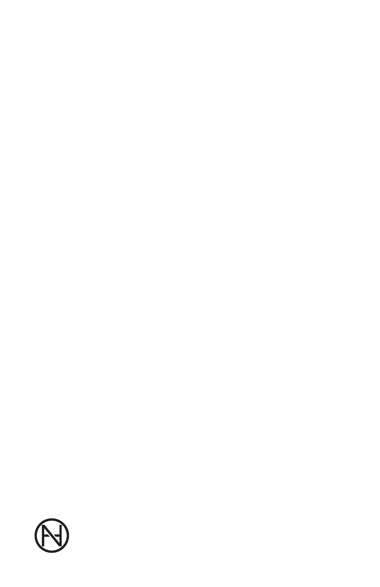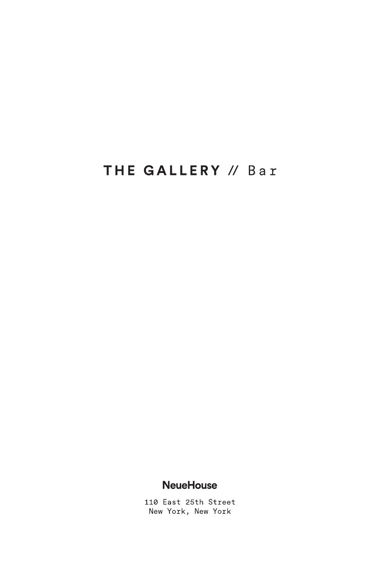### THE GALLERY // Bar

### **NeueHouse**

110 East 25th Street New York, New York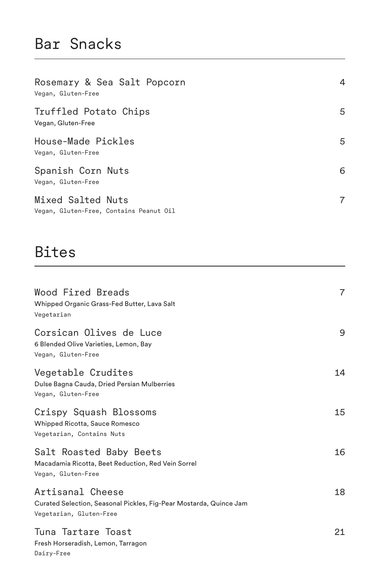# Bar Snacks

| Rosemary & Sea Salt Popcorn<br>Vegan, Gluten-Free            | 4 |
|--------------------------------------------------------------|---|
| Truffled Potato Chips<br>Vegan, Gluten-Free                  | 5 |
| House-Made Pickles<br>Vegan, Gluten-Free                     | 5 |
| Spanish Corn Nuts<br>Vegan, Gluten-Free                      | 6 |
| Mixed Salted Nuts<br>Vegan, Gluten-Free, Contains Peanut Oil | 7 |

### Bites

| Wood Fired Breads<br>Whipped Organic Grass-Fed Butter, Lava Salt<br>Vegetarian                                    | 7  |
|-------------------------------------------------------------------------------------------------------------------|----|
| Corsican Olives de Luce<br>6 Blended Olive Varieties, Lemon, Bay<br>Vegan, Gluten-Free                            | 9  |
| Vegetable Crudites<br>Dulse Bagna Cauda, Dried Persian Mulberries<br>Vegan, Gluten-Free                           | 14 |
| Crispy Squash Blossoms<br>Whipped Ricotta, Sauce Romesco<br>Vegetarian, Contains Nuts                             | 15 |
| Salt Roasted Baby Beets<br>Macadamia Ricotta, Beet Reduction, Red Vein Sorrel<br>Vegan, Gluten-Free               | 16 |
| Artisanal Cheese<br>Curated Selection, Seasonal Pickles, Fig-Pear Mostarda, Quince Jam<br>Vegetarian, Gluten-Free | 18 |
| Tuna Tartare Toast<br>Fresh Horseradish, Lemon, Tarragon<br>Dairy-Free                                            | 21 |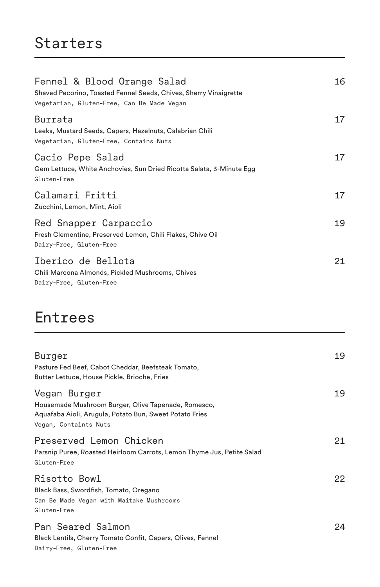# Starters

| Fennel & Blood Orange Salad<br>Shaved Pecorino, Toasted Fennel Seeds, Chives, Sherry Vinaigrette<br>Vegetarian, Gluten-Free, Can Be Made Vegan | 16  |
|------------------------------------------------------------------------------------------------------------------------------------------------|-----|
| Burrata<br>Leeks, Mustard Seeds, Capers, Hazelnuts, Calabrian Chili<br>Vegetarian, Gluten-Free, Contains Nuts                                  | 17  |
| Cacio Pepe Salad<br>Gem Lettuce, White Anchovies, Sun Dried Ricotta Salata, 3-Minute Egg<br>Gluten-Free                                        | 17  |
| Calamari Fritti<br>Zucchini, Lemon, Mint, Aioli                                                                                                | 17  |
| Red Snapper Carpaccio<br>Fresh Clementine, Preserved Lemon, Chili Flakes, Chive Oil<br>Dairy-Free, Gluten-Free                                 | 19  |
| Iberico de Bellota<br>Chili Marcona Almonds, Pickled Mushrooms, Chives<br>Dairy-Free, Gluten-Free                                              | 21. |

## Entrees

| Burger<br>Pasture Fed Beef, Cabot Cheddar, Beefsteak Tomato,<br>Butter Lettuce, House Pickle, Brioche, Fries                                            | 19 |
|---------------------------------------------------------------------------------------------------------------------------------------------------------|----|
| Vegan Burger<br>Housemade Mushroom Burger, Olive Tapenade, Romesco,<br>Aquafaba Aioli, Arugula, Potato Bun, Sweet Potato Fries<br>Vegan, Containts Nuts | 19 |
| Preserved Lemon Chicken<br>Parsnip Puree, Roasted Heirloom Carrots, Lemon Thyme Jus, Petite Salad<br>Gluten-Free                                        | 21 |
| Risotto Bowl<br>Black Bass, Swordfish, Tomato, Oregano<br>Can Be Made Vegan with Maitake Mushrooms<br>Gluten-Free                                       | 22 |
| Pan Seared Salmon<br>Black Lentils, Cherry Tomato Confit, Capers, Olives, Fennel<br>Dairy-Free, Gluten-Free                                             | 24 |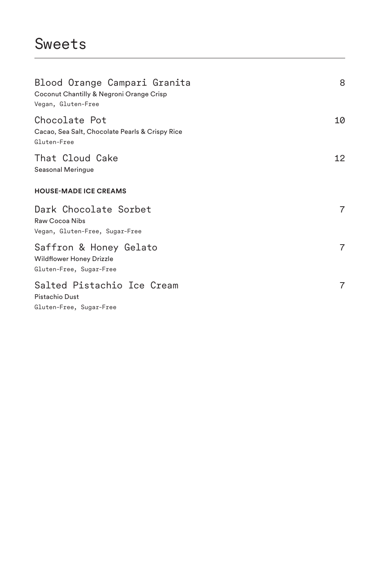### Sweets

| Blood Orange Campari Granita<br>Coconut Chantilly & Negroni Orange Crisp<br>Vegan, Gluten-Free | 8              |
|------------------------------------------------------------------------------------------------|----------------|
| Chocolate Pot<br>Cacao, Sea Salt, Chocolate Pearls & Crispy Rice<br>Gluten-Free                | 10             |
| That Cloud Cake<br>Seasonal Meringue                                                           | 12             |
| <b>HOUSE-MADE ICE CREAMS</b>                                                                   |                |
| Dark Chocolate Sorbet<br><b>Raw Cocoa Nibs</b><br>Vegan, Gluten-Free, Sugar-Free               | $\overline{7}$ |
| Saffron & Honey Gelato<br>Wildflower Honey Drizzle<br>Gluten-Free, Sugar-Free                  | $\overline{7}$ |
| Salted Pistachio Ice Cream<br>Pistachio Dust<br>Gluten-Free, Sugar-Free                        | 7              |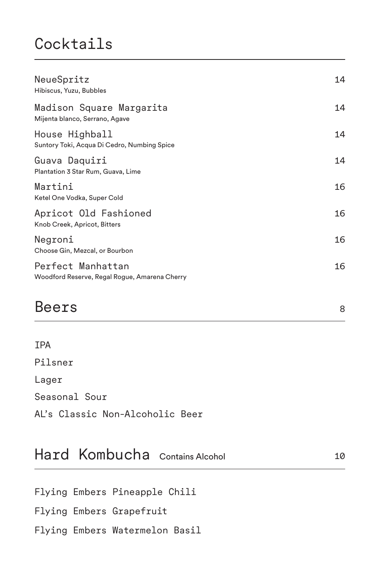### Cocktails

| NeueSpritz<br>Hibiscus, Yuzu, Bubbles                              | 14 |
|--------------------------------------------------------------------|----|
| Madison Square Margarita<br>Mijenta blanco, Serrano, Agave         | 14 |
| House Highball<br>Suntory Toki, Acqua Di Cedro, Numbing Spice      | 14 |
| Guava Daquiri<br>Plantation 3 Star Rum, Guava, Lime                | 14 |
| Martini<br>Ketel One Vodka, Super Cold                             | 16 |
| Apricot Old Fashioned<br>Knob Creek, Apricot, Bitters              | 16 |
| Negroni<br>Choose Gin, Mezcal, or Bourbon                          | 16 |
| Perfect Manhattan<br>Woodford Reserve, Regal Rogue, Amarena Cherry | 16 |
| <b>Beers</b>                                                       | 8  |

| IPA                             |  |
|---------------------------------|--|
| Pilsner                         |  |
| Lager                           |  |
| Seasonal Sour                   |  |
| AL's Classic Non-Alcoholic Beer |  |

| Hard Kombucha Contains Alcohol |  |  |
|--------------------------------|--|--|
|--------------------------------|--|--|

Flying Embers Pineapple Chili

Flying Embers Grapefruit

Flying Embers Watermelon Basil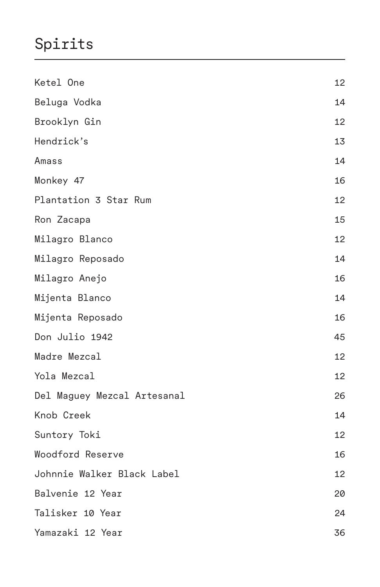# Spirits

| Ketel One                   | 12 |
|-----------------------------|----|
| Beluga Vodka                | 14 |
| Brooklyn Gin                | 12 |
| Hendrick's                  | 13 |
| Amass                       | 14 |
| Monkey 47                   | 16 |
| Plantation 3 Star Rum       | 12 |
| Ron Zacapa                  | 15 |
| Milagro Blanco              | 12 |
| Milagro Reposado            | 14 |
| Milagro Anejo               | 16 |
| Mijenta Blanco              | 14 |
| Mijenta Reposado            | 16 |
| Don Julio 1942              | 45 |
| Madre Mezcal                | 12 |
| Yola Mezcal                 | 12 |
| Del Maguey Mezcal Artesanal | 26 |
| Knob Creek                  | 14 |
| Suntory Toki                | 12 |
| Woodford Reserve            | 16 |
| Johnnie Walker Black Label  | 12 |
| Balvenie 12 Year            | 20 |
| Talisker 10 Year            | 24 |
| Yamazaki 12 Year            | 36 |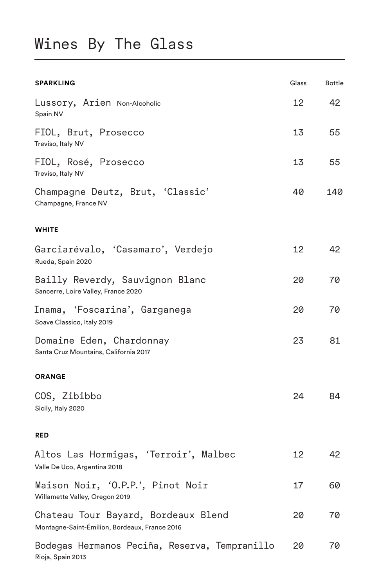# Wines By The Glass

| <b>SPARKLING</b>                                                                     | Glass | <b>Bottle</b> |
|--------------------------------------------------------------------------------------|-------|---------------|
| Lussory, Arien Non-Alcoholic<br>Spain NV                                             | 12    | 42            |
| FIOL, Brut, Prosecco<br>Treviso, Italy NV                                            | 13    | 55            |
| FIOL, Rosé, Prosecco<br>Treviso, Italy NV                                            | 13    | 55            |
| Champagne Deutz, Brut, 'Classic'<br>Champagne, France NV                             | 40    | 140           |
| <b>WHITE</b>                                                                         |       |               |
| Garciarévalo, 'Casamaro', Verdejo<br>Rueda, Spain 2020                               | 12    | 42            |
| Bailly Reverdy, Sauvignon Blanc<br>Sancerre, Loire Valley, France 2020               | 20    | 70            |
| Inama, 'Foscarina', Garganega<br>Soave Classico, Italy 2019                          | 20    | 70            |
| Domaine Eden, Chardonnay<br>Santa Cruz Mountains, California 2017                    | 23    | 81            |
| <b>ORANGE</b>                                                                        |       |               |
| COS, Zibibbo<br>Sicily, Italy 2020                                                   | 24    | 84            |
| <b>RED</b>                                                                           |       |               |
| Altos Las Hormigas, 'Terroir', Malbec<br>Valle De Uco, Argentina 2018                | 12    | 42            |
| Maison Noir, 'O.P.P.', Pinot Noir<br>Willamette Valley, Oregon 2019                  | 17    | 60            |
| Chateau Tour Bayard, Bordeaux Blend<br>Montagne-Saint-Émilion, Bordeaux, France 2016 | 20    | 70            |
| Bodegas Hermanos Peciña, Reserva, Tempranillo<br>Rioja, Spain 2013                   | 20    | 70            |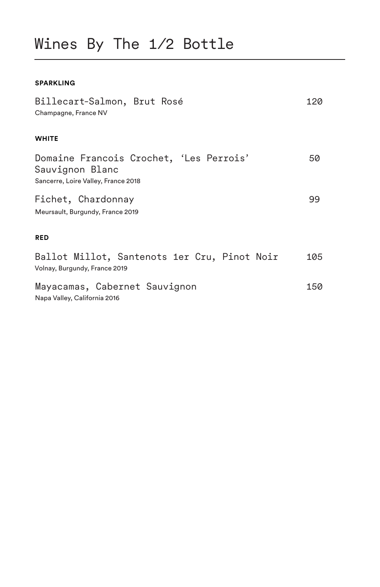#### **SPARKLING**

| Billecart-Salmon, Brut Rosé<br>Champagne, France NV                                               |     |  |  |  |
|---------------------------------------------------------------------------------------------------|-----|--|--|--|
| <b>WHITE</b>                                                                                      |     |  |  |  |
| Domaine Francois Crochet, 'Les Perrois'<br>Sauvignon Blanc<br>Sancerre, Loire Valley, France 2018 | 50  |  |  |  |
| Fichet, Chardonnay<br>Meursault, Burgundy, France 2019                                            | 99  |  |  |  |
| <b>RED</b>                                                                                        |     |  |  |  |
| Ballot Millot, Santenots 1er Cru, Pinot Noir<br>Volnay, Burgundy, France 2019                     | 105 |  |  |  |
| Mayacamas, Cabernet Sauvignon<br>Napa Valley, California 2016                                     | 150 |  |  |  |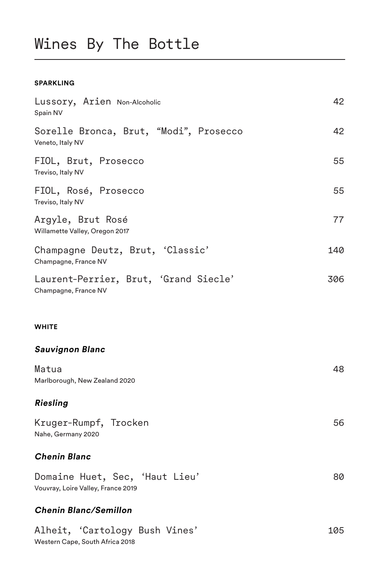# Wines By The Bottle

#### **SPARKLING**

| Lussory, Arien Non-Alcoholic<br>Spain NV                             | 42  |
|----------------------------------------------------------------------|-----|
| Sorelle Bronca, Brut, "Modi", Prosecco<br>Veneto, Italy NV           | 42  |
| FIOL, Brut, Prosecco<br>Treviso, Italy NV                            | 55  |
| FIOL, Rosé, Prosecco<br>Treviso, Italy NV                            | 55  |
| Argyle, Brut Rosé<br>Willamette Valley, Oregon 2017                  | 77  |
| Champagne Deutz, Brut, 'Classic'<br>Champagne, France NV             | 140 |
| Laurent-Perrier, Brut, 'Grand Siecle'<br>Champagne, France NV        | 306 |
| WHITE                                                                |     |
| Sauvignon Blanc                                                      |     |
| Matua<br>Marlborough, New Zealand 2020                               | 48  |
| Riesling                                                             |     |
| Kruger-Rumpf, Trocken<br>Nahe, Germany 2020                          | 56  |
| <b>Chenin Blanc</b>                                                  |     |
| Domaine Huet, Sec, 'Haut Lieu'<br>Vouvray, Loire Valley, France 2019 | 80  |
| Chenin Blanc/Semillon                                                |     |
| Alheit, 'Cartology Bush Vines'                                       | 105 |

Western Cape, South Africa 2018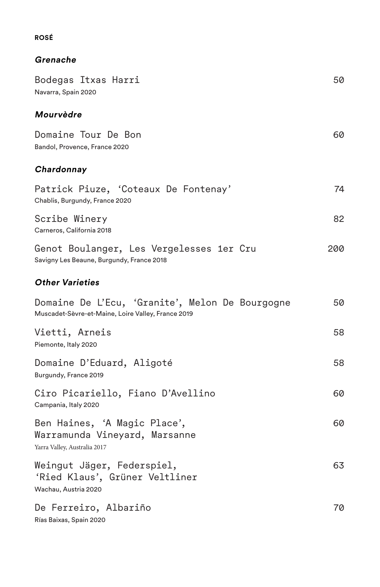### **ROSÉ**

### **Grenache**

| Bodegas Itxas Harri<br>Navarra, Spain 2020                                                            | 50  |
|-------------------------------------------------------------------------------------------------------|-----|
| Mourvèdre                                                                                             |     |
| Domaine Tour De Bon<br>Bandol, Provence, France 2020                                                  | 60  |
| Chardonnay                                                                                            |     |
| Patrick Piuze, 'Coteaux De Fontenay'<br>Chablis, Burgundy, France 2020                                | 74  |
| Scribe Winery<br>Carneros, California 2018                                                            | 82  |
| Genot Boulanger, Les Vergelesses 1er Cru<br>Savigny Les Beaune, Burgundy, France 2018                 | 200 |
| <b>Other Varieties</b>                                                                                |     |
| Domaine De L'Ecu, 'Granite', Melon De Bourgogne<br>Muscadet-Sèvre-et-Maine, Loire Valley, France 2019 | 50  |
| Vietti, Arneis<br>Piemonte, Italy 2020                                                                | 58  |
| Domaine D'Eduard, Aligoté<br>Burgundy, France 2019                                                    | 58  |
| Ciro Picariello, Fiano D'Avellino<br>Campania, Italy 2020                                             | 60  |
| Ben Haines, 'A Magic Place',<br>Warramunda Vineyard, Marsanne<br>Yarra Valley, Australia 2017         | 60  |
| Weingut Jäger, Federspiel,<br>'Ried Klaus', Grüner Veltliner<br>Wachau, Austria 2020                  | 63  |
| De Ferreiro, Albariño<br>Rías Baixas, Spain 2020                                                      | 70  |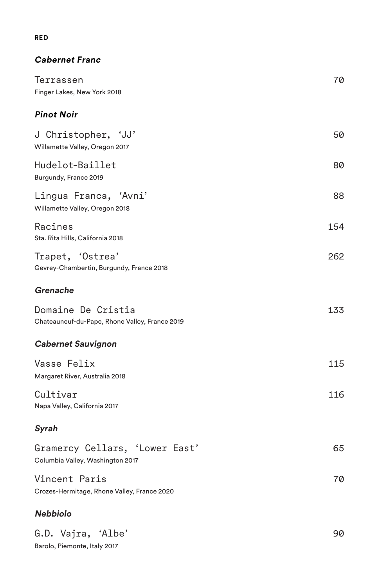**RED** 

### **Cabernet Franc**

| Terrassen                                                            | 70  |  |  |
|----------------------------------------------------------------------|-----|--|--|
| Finger Lakes, New York 2018                                          |     |  |  |
| <b>Pinot Noir</b>                                                    |     |  |  |
| J Christopher, 'JJ'<br>Willamette Valley, Oregon 2017                | 50  |  |  |
| Hudelot-Baillet<br>Burgundy, France 2019                             | 80  |  |  |
| Lingua Franca, 'Avni'<br>Willamette Valley, Oregon 2018              | 88  |  |  |
| Racines<br>Sta. Rita Hills, California 2018                          | 154 |  |  |
| Trapet, 'Ostrea'<br>Gevrey-Chambertin, Burgundy, France 2018         | 262 |  |  |
| Grenache                                                             |     |  |  |
| Domaine De Cristia<br>Chateauneuf-du-Pape, Rhone Valley, France 2019 |     |  |  |
| <b>Cabernet Sauvignon</b>                                            |     |  |  |
| Vasse Felix<br>Margaret River, Australia 2018                        | 115 |  |  |
| Cultivar<br>Napa Valley, California 2017                             | 116 |  |  |
| Syrah                                                                |     |  |  |
| Gramercy Cellars, 'Lower East'<br>Columbia Valley, Washington 2017   | 65  |  |  |
| Vincent Paris<br>Crozes-Hermitage, Rhone Valley, France 2020         | 70  |  |  |
|                                                                      |     |  |  |

### **Nebbiolo**

| G.D. Vajra, 'Albe'           |  | 90 |
|------------------------------|--|----|
| Barolo, Piemonte, Italy 2017 |  |    |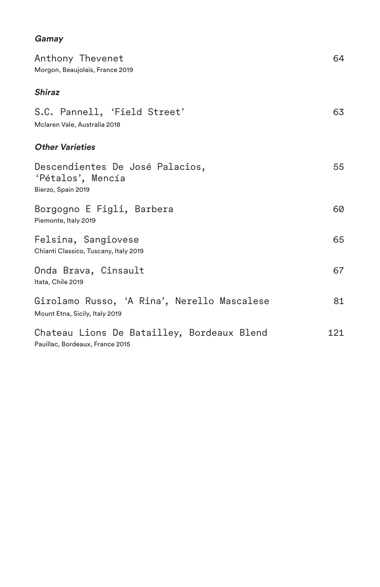### **Gamay**

| Anthony Thevenet<br>Morgon, Beaujolais, France 2019                           | 64  |
|-------------------------------------------------------------------------------|-----|
| <b>Shiraz</b>                                                                 |     |
| S.C. Pannell, 'Field Street'<br>Mclaren Vale, Australia 2018                  | 63  |
| <b>Other Varieties</b>                                                        |     |
| Descendientes De José Palacios,<br>'Pétalos', Mencía<br>Bierzo, Spain 2019    | 55  |
| Borgogno E Figli, Barbera<br>Piemonte, Italy 2019                             | 60  |
| Felsina, Sangiovese<br>Chianti Classico, Tuscany, Italy 2019                  | 65  |
| Onda Brava, Cinsault<br>Itata, Chile 2019                                     | 67  |
| Girolamo Russo, 'A Rina', Nerello Mascalese<br>Mount Etna, Sicily, Italy 2019 | 81  |
| Chateau Lions De Batailley, Bordeaux Blend<br>Pauillac, Bordeaux, France 2015 | 121 |